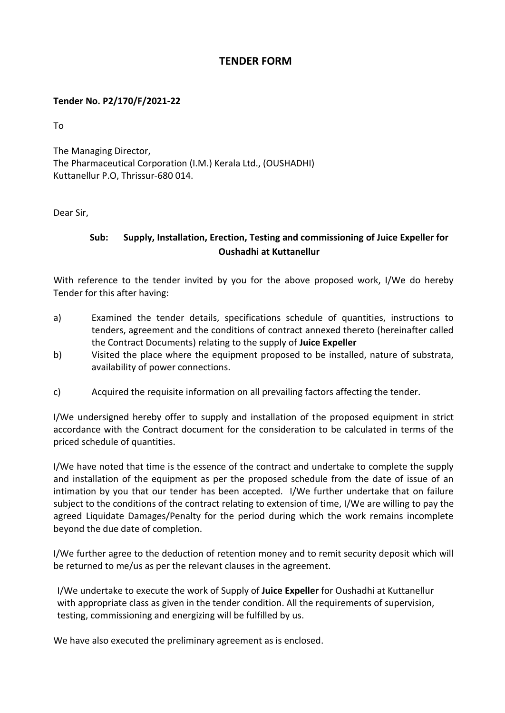## **TENDER FORM**

## **Tender No. P2/170/F/2021-22**

To

The Managing Director, The Pharmaceutical Corporation (I.M.) Kerala Ltd., (OUSHADHI) Kuttanellur P.O, Thrissur-680 014.

Dear Sir,

## **Sub: Supply, Installation, Erection, Testing and commissioning of Juice Expeller for Oushadhi at Kuttanellur**

With reference to the tender invited by you for the above proposed work, I/We do hereby Tender for this after having:

- a) Examined the tender details, specifications schedule of quantities, instructions to tenders, agreement and the conditions of contract annexed thereto (hereinafter called the Contract Documents) relating to the supply of **Juice Expeller**
- b) Visited the place where the equipment proposed to be installed, nature of substrata, availability of power connections.
- c) Acquired the requisite information on all prevailing factors affecting the tender.

I/We undersigned hereby offer to supply and installation of the proposed equipment in strict accordance with the Contract document for the consideration to be calculated in terms of the priced schedule of quantities.

I/We have noted that time is the essence of the contract and undertake to complete the supply and installation of the equipment as per the proposed schedule from the date of issue of an intimation by you that our tender has been accepted. I/We further undertake that on failure subject to the conditions of the contract relating to extension of time, I/We are willing to pay the agreed Liquidate Damages/Penalty for the period during which the work remains incomplete beyond the due date of completion.

I/We further agree to the deduction of retention money and to remit security deposit which will be returned to me/us as per the relevant clauses in the agreement.

I/We undertake to execute the work of Supply of **Juice Expeller** for Oushadhi at Kuttanellur with appropriate class as given in the tender condition. All the requirements of supervision, testing, commissioning and energizing will be fulfilled by us.

We have also executed the preliminary agreement as is enclosed.